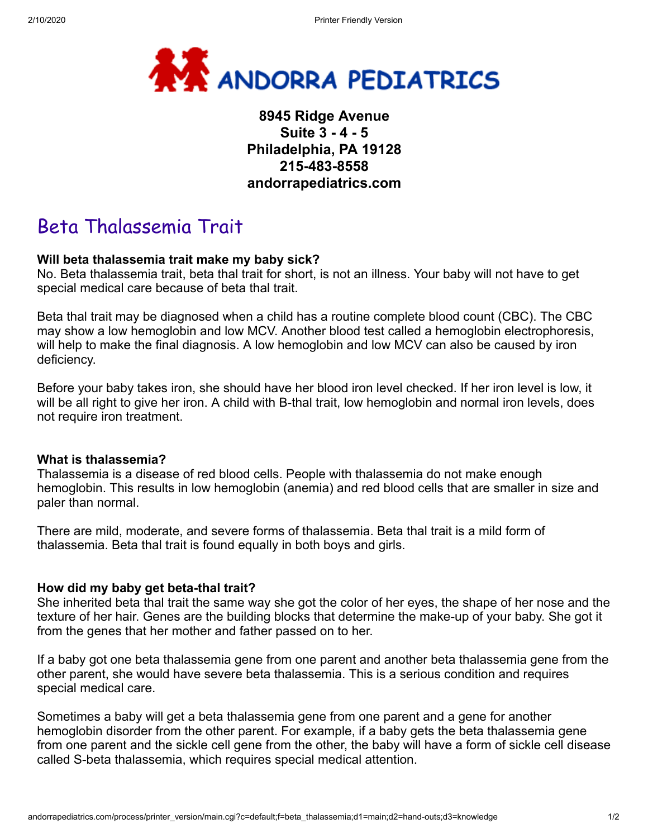

# **8945 Ridge Avenue Suite 3 - 4 - 5 Philadelphia, PA 19128 215-483-8558 andorrapediatrics.com**

# Beta Thalassemia Trait

# **Will beta thalassemia trait make my baby sick?**

No. Beta thalassemia trait, beta thal trait for short, is not an illness. Your baby will not have to get special medical care because of beta thal trait.

Beta thal trait may be diagnosed when a child has a routine complete blood count (CBC). The CBC may show a low hemoglobin and low MCV. Another blood test called a hemoglobin electrophoresis, will help to make the final diagnosis. A low hemoglobin and low MCV can also be caused by iron deficiency.

Before your baby takes iron, she should have her blood iron level checked. If her iron level is low, it will be all right to give her iron. A child with B-thal trait, low hemoglobin and normal iron levels, does not require iron treatment.

# **What is thalassemia?**

Thalassemia is a disease of red blood cells. People with thalassemia do not make enough hemoglobin. This results in low hemoglobin (anemia) and red blood cells that are smaller in size and paler than normal.

There are mild, moderate, and severe forms of thalassemia. Beta thal trait is a mild form of thalassemia. Beta thal trait is found equally in both boys and girls.

# **How did my baby get beta-thal trait?**

She inherited beta thal trait the same way she got the color of her eyes, the shape of her nose and the texture of her hair. Genes are the building blocks that determine the make-up of your baby. She got it from the genes that her mother and father passed on to her.

If a baby got one beta thalassemia gene from one parent and another beta thalassemia gene from the other parent, she would have severe beta thalassemia. This is a serious condition and requires special medical care.

Sometimes a baby will get a beta thalassemia gene from one parent and a gene for another hemoglobin disorder from the other parent. For example, if a baby gets the beta thalassemia gene from one parent and the sickle cell gene from the other, the baby will have a form of sickle cell disease called S-beta thalassemia, which requires special medical attention.